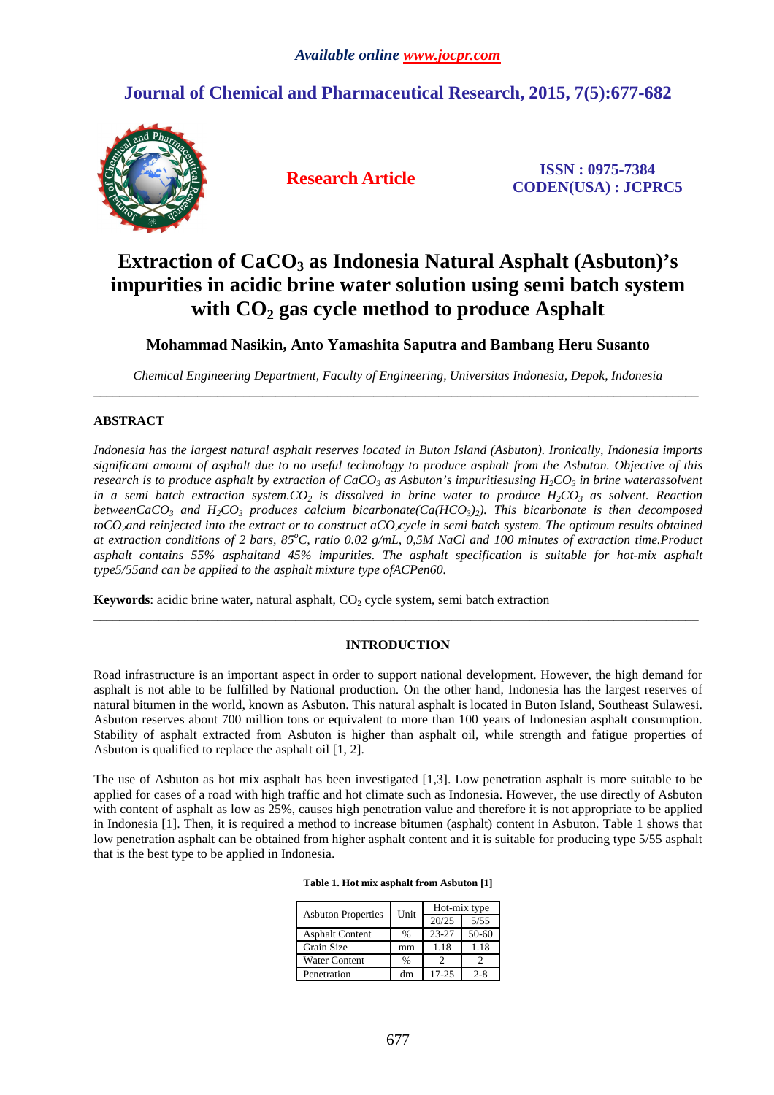# **Journal of Chemical and Pharmaceutical Research, 2015, 7(5):677-682**



**Research Article ISSN : 0975-7384 CODEN(USA) : JCPRC5**

# **Extraction of CaCO3 as Indonesia Natural Asphalt (Asbuton)'s impurities in acidic brine water solution using semi batch system with CO2 gas cycle method to produce Asphalt**

**Mohammad Nasikin, Anto Yamashita Saputra and Bambang Heru Susanto**

*Chemical Engineering Department, Faculty of Engineering, Universitas Indonesia, Depok, Indonesia*  \_\_\_\_\_\_\_\_\_\_\_\_\_\_\_\_\_\_\_\_\_\_\_\_\_\_\_\_\_\_\_\_\_\_\_\_\_\_\_\_\_\_\_\_\_\_\_\_\_\_\_\_\_\_\_\_\_\_\_\_\_\_\_\_\_\_\_\_\_\_\_\_\_\_\_\_\_\_\_\_\_\_\_\_\_\_\_\_\_\_\_\_\_

# **ABSTRACT**

*Indonesia has the largest natural asphalt reserves located in Buton Island (Asbuton). Ironically, Indonesia imports significant amount of asphalt due to no useful technology to produce asphalt from the Asbuton. Objective of this research is to produce asphalt by extraction of CaCO3 as Asbuton's impuritiesusing H2CO3 in brine waterassolvent in a semi batch extraction system.CO2 is dissolved in brine water to produce H2CO3 as solvent. Reaction betweenCaCO*<sup>3</sup> and H<sub>2</sub>*CO*<sup>3</sup> produces calcium bicarbonate(Ca(HCO<sup>3</sup><sub>2</sub>)</sub>. This bicarbonate is then decomposed *toCO2and reinjected into the extract or to construct aCO2cycle in semi batch system. The optimum results obtained at extraction conditions of 2 bars, 85<sup>o</sup>C, ratio 0.02 g/mL, 0,5M NaCl and 100 minutes of extraction time.Product asphalt contains 55% asphaltand 45% impurities. The asphalt specification is suitable for hot-mix asphalt type5/55and can be applied to the asphalt mixture type ofACPen60.* 

**Keywords**: acidic brine water, natural asphalt,  $CO<sub>2</sub>$  cycle system, semi batch extraction

# **INTRODUCTION**

\_\_\_\_\_\_\_\_\_\_\_\_\_\_\_\_\_\_\_\_\_\_\_\_\_\_\_\_\_\_\_\_\_\_\_\_\_\_\_\_\_\_\_\_\_\_\_\_\_\_\_\_\_\_\_\_\_\_\_\_\_\_\_\_\_\_\_\_\_\_\_\_\_\_\_\_\_\_\_\_\_\_\_\_\_\_\_\_\_\_\_\_\_

Road infrastructure is an important aspect in order to support national development. However, the high demand for asphalt is not able to be fulfilled by National production. On the other hand, Indonesia has the largest reserves of natural bitumen in the world, known as Asbuton. This natural asphalt is located in Buton Island, Southeast Sulawesi. Asbuton reserves about 700 million tons or equivalent to more than 100 years of Indonesian asphalt consumption. Stability of asphalt extracted from Asbuton is higher than asphalt oil, while strength and fatigue properties of Asbuton is qualified to replace the asphalt oil [1, 2].

The use of Asbuton as hot mix asphalt has been investigated [1,3]. Low penetration asphalt is more suitable to be applied for cases of a road with high traffic and hot climate such as Indonesia. However, the use directly of Asbuton with content of asphalt as low as 25%, causes high penetration value and therefore it is not appropriate to be applied in Indonesia [1]. Then, it is required a method to increase bitumen (asphalt) content in Asbuton. Table 1 shows that low penetration asphalt can be obtained from higher asphalt content and it is suitable for producing type 5/55 asphalt that is the best type to be applied in Indonesia.

| <b>Asbuton Properties</b> | Unit          | Hot-mix type |         |
|---------------------------|---------------|--------------|---------|
|                           |               | 20/25        | 5/55    |
| <b>Asphalt Content</b>    | $\frac{0}{0}$ | 23-27        | 50-60   |
| Grain Size                | mm            | 1.18         | 1.18    |
| Water Content             | $\frac{0}{0}$ |              |         |
| Penetration               | dm            | $17 - 25$    | $2 - 8$ |

#### **Table 1. Hot mix asphalt from Asbuton [1]**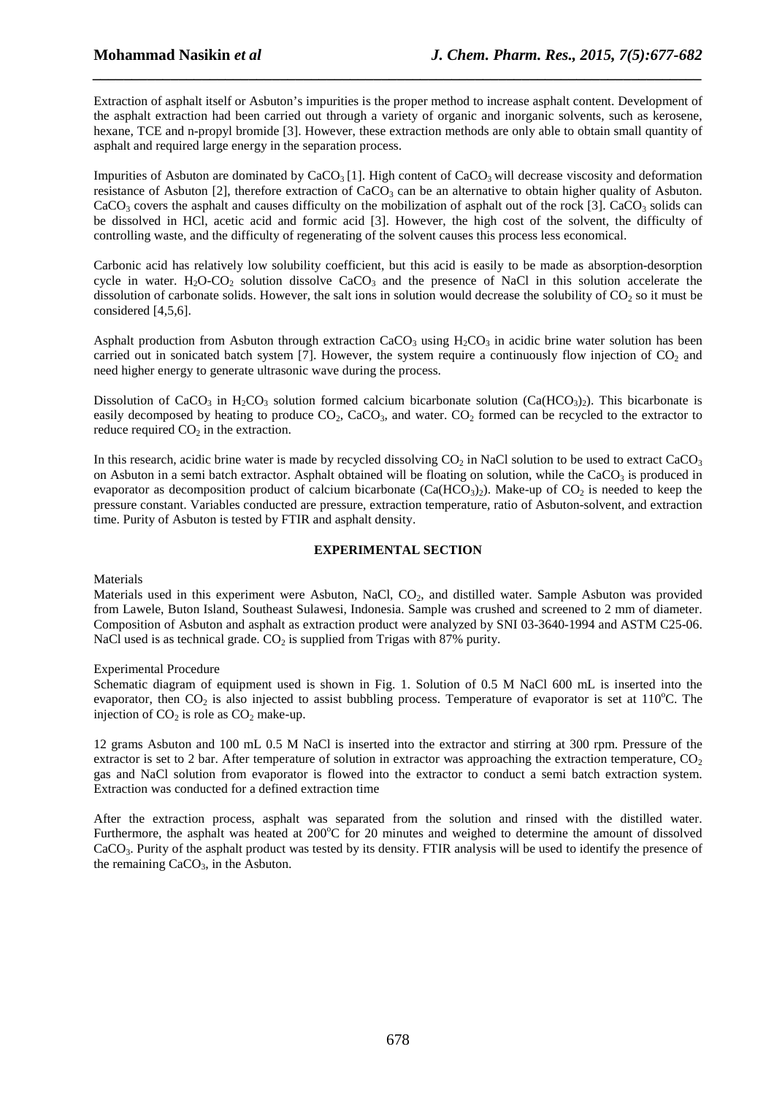Extraction of asphalt itself or Asbuton's impurities is the proper method to increase asphalt content. Development of the asphalt extraction had been carried out through a variety of organic and inorganic solvents, such as kerosene, hexane, TCE and n-propyl bromide [3]. However, these extraction methods are only able to obtain small quantity of asphalt and required large energy in the separation process.

*\_\_\_\_\_\_\_\_\_\_\_\_\_\_\_\_\_\_\_\_\_\_\_\_\_\_\_\_\_\_\_\_\_\_\_\_\_\_\_\_\_\_\_\_\_\_\_\_\_\_\_\_\_\_\_\_\_\_\_\_\_\_\_\_\_\_\_\_\_\_\_\_\_\_\_\_\_\_*

Impurities of Asbuton are dominated by  $CaCO<sub>3</sub>[1]$ . High content of  $CaCO<sub>3</sub>$  will decrease viscosity and deformation resistance of Asbuton [2], therefore extraction of  $CaCO<sub>3</sub>$  can be an alternative to obtain higher quality of Asbuton.  $CaCO<sub>3</sub> covers the asphalt and causes difficulty on the mobilization of asphalt out of the rock [3].  $CaCO<sub>3</sub> solids can$$ be dissolved in HCl, acetic acid and formic acid [3]. However, the high cost of the solvent, the difficulty of controlling waste, and the difficulty of regenerating of the solvent causes this process less economical.

Carbonic acid has relatively low solubility coefficient, but this acid is easily to be made as absorption-desorption cycle in water. H<sub>2</sub>O-CO<sub>2</sub> solution dissolve CaCO<sub>3</sub> and the presence of NaCl in this solution accelerate the dissolution of carbonate solids. However, the salt ions in solution would decrease the solubility of  $CO<sub>2</sub>$  so it must be considered [4,5,6].

Asphalt production from Asbuton through extraction  $CaCO<sub>3</sub>$  using  $H<sub>2</sub>CO<sub>3</sub>$  in acidic brine water solution has been carried out in sonicated batch system [7]. However, the system require a continuously flow injection of  $CO<sub>2</sub>$  and need higher energy to generate ultrasonic wave during the process.

Dissolution of CaCO<sub>3</sub> in H<sub>2</sub>CO<sub>3</sub> solution formed calcium bicarbonate solution (Ca(HCO<sub>3</sub>)<sub>2</sub>). This bicarbonate is easily decomposed by heating to produce  $CO<sub>2</sub>$ , CaCO<sub>3</sub>, and water.  $CO<sub>2</sub>$  formed can be recycled to the extractor to reduce required  $CO<sub>2</sub>$  in the extraction.

In this research, acidic brine water is made by recycled dissolving  $CO_2$  in NaCl solution to be used to extract CaCO<sub>3</sub> on Asbuton in a semi batch extractor. Asphalt obtained will be floating on solution, while the  $CaCO<sub>3</sub>$  is produced in evaporator as decomposition product of calcium bicarbonate  $(Ca(HCO<sub>3</sub>)<sub>2</sub>)$ . Make-up of  $CO<sub>2</sub>$  is needed to keep the pressure constant. Variables conducted are pressure, extraction temperature, ratio of Asbuton-solvent, and extraction time. Purity of Asbuton is tested by FTIR and asphalt density.

# **EXPERIMENTAL SECTION**

Materials

Materials used in this experiment were Asbuton, NaCl, CO<sub>2</sub>, and distilled water. Sample Asbuton was provided from Lawele, Buton Island, Southeast Sulawesi, Indonesia. Sample was crushed and screened to 2 mm of diameter. Composition of Asbuton and asphalt as extraction product were analyzed by SNI 03-3640-1994 and ASTM C25-06. NaCl used is as technical grade.  $CO<sub>2</sub>$  is supplied from Trigas with 87% purity.

Experimental Procedure

Schematic diagram of equipment used is shown in Fig. 1. Solution of 0.5 M NaCl 600 mL is inserted into the evaporator, then  $CO<sub>2</sub>$  is also injected to assist bubbling process. Temperature of evaporator is set at 110 $^{\circ}$ C. The injection of  $CO<sub>2</sub>$  is role as  $CO<sub>2</sub>$  make-up.

12 grams Asbuton and 100 mL 0.5 M NaCl is inserted into the extractor and stirring at 300 rpm. Pressure of the extractor is set to 2 bar. After temperature of solution in extractor was approaching the extraction temperature,  $CO<sub>2</sub>$ gas and NaCl solution from evaporator is flowed into the extractor to conduct a semi batch extraction system. Extraction was conducted for a defined extraction time

After the extraction process, asphalt was separated from the solution and rinsed with the distilled water. Furthermore, the asphalt was heated at  $200^{\circ}$ C for 20 minutes and weighed to determine the amount of dissolved CaCO3. Purity of the asphalt product was tested by its density. FTIR analysis will be used to identify the presence of the remaining  $CaCO<sub>3</sub>$ , in the Asbuton.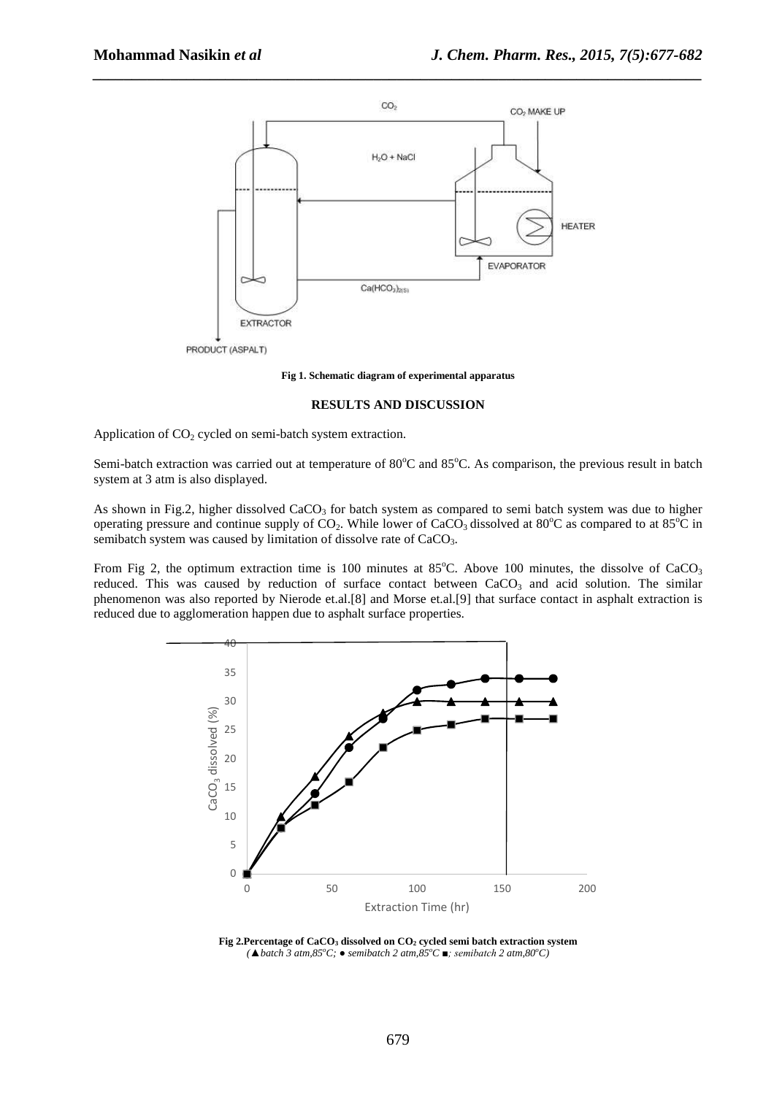

*\_\_\_\_\_\_\_\_\_\_\_\_\_\_\_\_\_\_\_\_\_\_\_\_\_\_\_\_\_\_\_\_\_\_\_\_\_\_\_\_\_\_\_\_\_\_\_\_\_\_\_\_\_\_\_\_\_\_\_\_\_\_\_\_\_\_\_\_\_\_\_\_\_\_\_\_\_\_*

**Fig 1. Schematic diagram of experimental apparatus** 

## **RESULTS AND DISCUSSION**

Application of  $CO<sub>2</sub>$  cycled on semi-batch system extraction.

Semi-batch extraction was carried out at temperature of  $80^{\circ}$ C and  $85^{\circ}$ C. As comparison, the previous result in batch system at 3 atm is also displayed.

As shown in Fig.2, higher dissolved  $CaCO<sub>3</sub>$  for batch system as compared to semi batch system was due to higher operating pressure and continue supply of  $CO_2$ . While lower of CaCO<sub>3</sub> dissolved at 80<sup>o</sup>C as compared to at 85<sup>o</sup>C in semibatch system was caused by limitation of dissolve rate of CaCO<sub>3</sub>.

From Fig 2, the optimum extraction time is 100 minutes at  $85^{\circ}$ C. Above 100 minutes, the dissolve of CaCO<sub>3</sub> reduced. This was caused by reduction of surface contact between  $CaCO<sub>3</sub>$  and acid solution. The similar phenomenon was also reported by Nierode et.al.[8] and Morse et.al.[9] that surface contact in asphalt extraction is reduced due to agglomeration happen due to asphalt surface properties.



**Fig 2.Percentage of CaCO3 dissolved on CO2 cycled semi batch extraction system**  *(▲batch 3 atm,85<sup>o</sup>C; ● semibatch 2 atm,85<sup>o</sup>C ■; semibatch 2 atm,80<sup>o</sup>C)*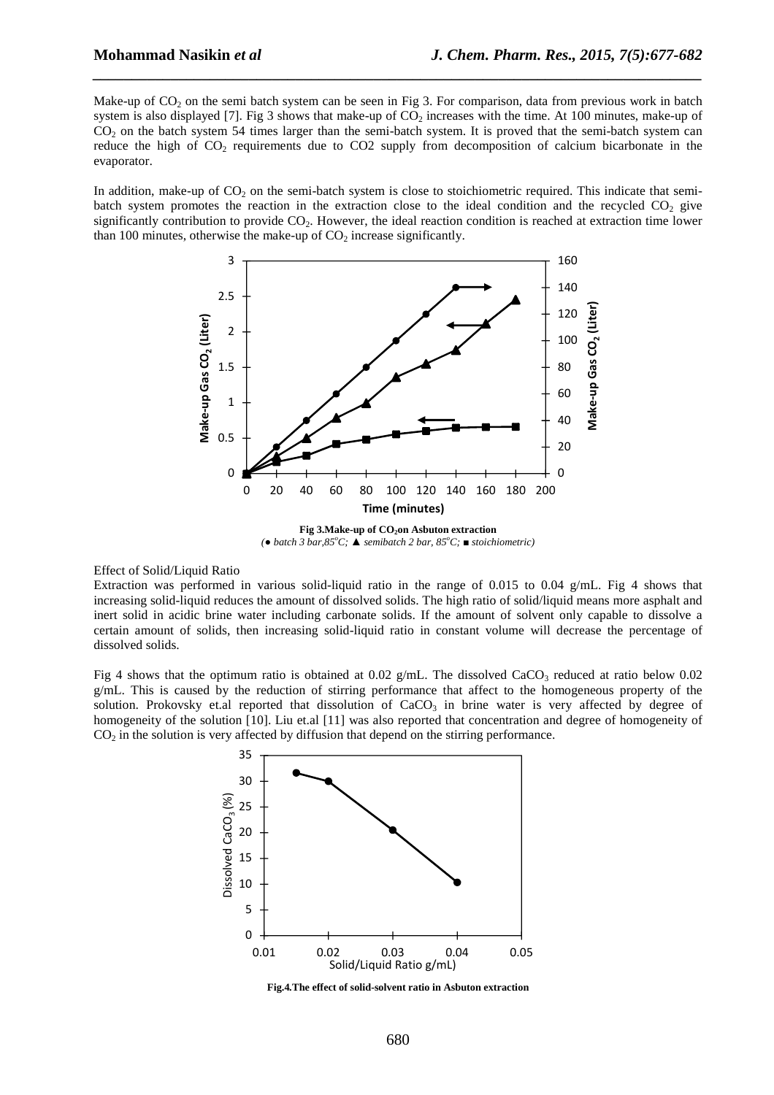Make-up of  $CO<sub>2</sub>$  on the semi batch system can be seen in Fig 3. For comparison, data from previous work in batch system is also displayed [7]. Fig 3 shows that make-up of  $CO<sub>2</sub>$  increases with the time. At 100 minutes, make-up of  $CO<sub>2</sub>$  on the batch system 54 times larger than the semi-batch system. It is proved that the semi-batch system can reduce the high of CO2 requirements due to CO2 supply from decomposition of calcium bicarbonate in the evaporator.

*\_\_\_\_\_\_\_\_\_\_\_\_\_\_\_\_\_\_\_\_\_\_\_\_\_\_\_\_\_\_\_\_\_\_\_\_\_\_\_\_\_\_\_\_\_\_\_\_\_\_\_\_\_\_\_\_\_\_\_\_\_\_\_\_\_\_\_\_\_\_\_\_\_\_\_\_\_\_*

In addition, make-up of  $CO<sub>2</sub>$  on the semi-batch system is close to stoichiometric required. This indicate that semibatch system promotes the reaction in the extraction close to the ideal condition and the recycled  $CO<sub>2</sub>$  give significantly contribution to provide  $CO<sub>2</sub>$ . However, the ideal reaction condition is reached at extraction time lower than 100 minutes, otherwise the make-up of  $CO<sub>2</sub>$  increase significantly.



*(● batch 3 bar,85<sup>o</sup>C; ▲ semibatch 2 bar, 85<sup>o</sup>C; ■ stoichiometric)* 

# Effect of Solid/Liquid Ratio

Extraction was performed in various solid-liquid ratio in the range of 0.015 to 0.04 g/mL. Fig 4 shows that increasing solid-liquid reduces the amount of dissolved solids. The high ratio of solid/liquid means more asphalt and inert solid in acidic brine water including carbonate solids. If the amount of solvent only capable to dissolve a certain amount of solids, then increasing solid-liquid ratio in constant volume will decrease the percentage of dissolved solids.

Fig 4 shows that the optimum ratio is obtained at 0.02 g/mL. The dissolved CaCO<sub>3</sub> reduced at ratio below 0.02 g/mL. This is caused by the reduction of stirring performance that affect to the homogeneous property of the solution. Prokovsky et.al reported that dissolution of  $CaCO<sub>3</sub>$  in brine water is very affected by degree of homogeneity of the solution [10]. Liu et.al [11] was also reported that concentration and degree of homogeneity of  $CO<sub>2</sub>$  in the solution is very affected by diffusion that depend on the stirring performance.



**Fig.4***.***The effect of solid-solvent ratio in Asbuton extraction**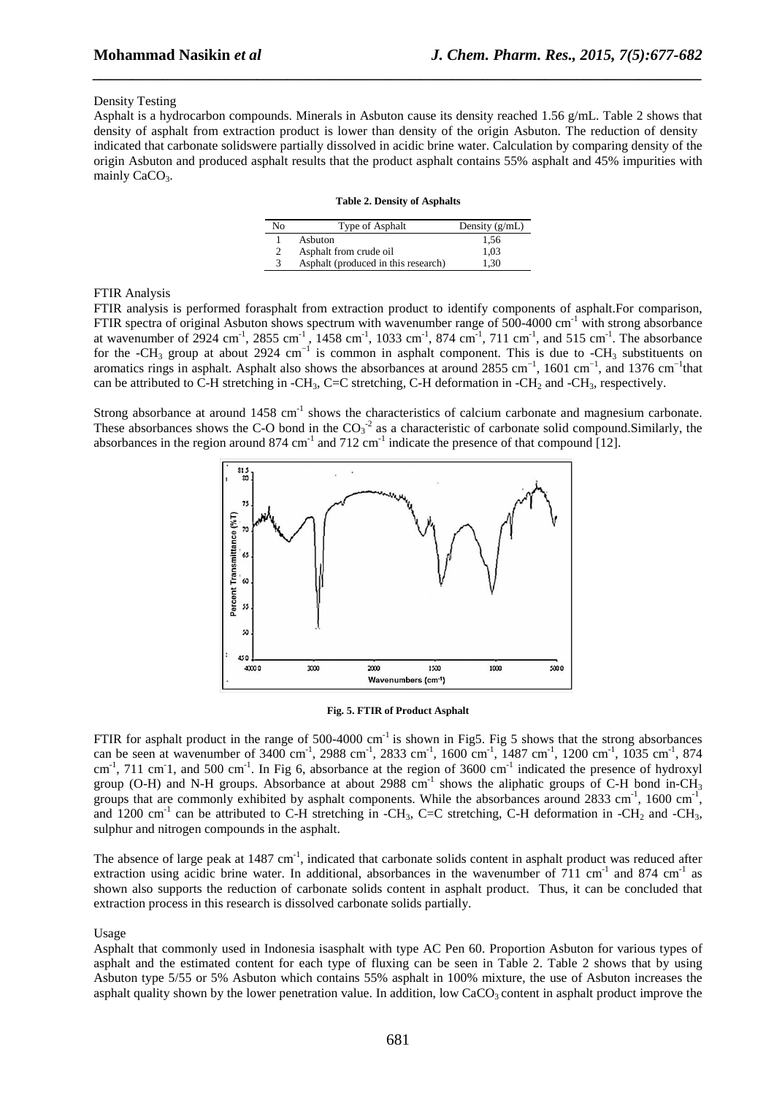# Density Testing

Asphalt is a hydrocarbon compounds. Minerals in Asbuton cause its density reached 1.56 g/mL. Table 2 shows that density of asphalt from extraction product is lower than density of the origin Asbuton. The reduction of density indicated that carbonate solidswere partially dissolved in acidic brine water. Calculation by comparing density of the origin Asbuton and produced asphalt results that the product asphalt contains 55% asphalt and 45% impurities with mainly  $CaCO<sub>3</sub>$ .

*\_\_\_\_\_\_\_\_\_\_\_\_\_\_\_\_\_\_\_\_\_\_\_\_\_\_\_\_\_\_\_\_\_\_\_\_\_\_\_\_\_\_\_\_\_\_\_\_\_\_\_\_\_\_\_\_\_\_\_\_\_\_\_\_\_\_\_\_\_\_\_\_\_\_\_\_\_\_*

| No | Type of Asphalt                     | Density $(g/mL)$ |
|----|-------------------------------------|------------------|
|    | Asbuton                             | 1.56             |
|    | Asphalt from crude oil              | 1.03             |
|    | Asphalt (produced in this research) | 1.30             |

**Table 2. Density of Asphalts** 

#### FTIR Analysis

FTIR analysis is performed forasphalt from extraction product to identify components of asphalt.For comparison, FTIR spectra of original Asbuton shows spectrum with wavenumber range of 500-4000 cm<sup>-1</sup> with strong absorbance at wavenumber of  $2924 \text{ cm}^{-1}$ ,  $2855 \text{ cm}^{-1}$ ,  $1458 \text{ cm}^{-1}$ ,  $1033 \text{ cm}^{-1}$ ,  $874 \text{ cm}^{-1}$ ,  $711 \text{ cm}^{-1}$ , and  $515 \text{ cm}^{-1}$ . The absorbance for the -CH<sub>3</sub> group at about 2924 cm<sup>-1</sup> is common in asphalt component. This is due to -CH<sub>3</sub> substituents on aromatics rings in asphalt. Asphalt also shows the absorbances at around 2855 cm<sup>-1</sup>, 1601 cm<sup>-1</sup>, and 1376 cm<sup>-1</sup>that can be attributed to C-H stretching in -CH<sub>3</sub>, C=C stretching, C-H deformation in -CH<sub>2</sub> and -CH<sub>3</sub>, respectively.

Strong absorbance at around  $1458 \text{ cm}^{-1}$  shows the characteristics of calcium carbonate and magnesium carbonate. These absorbances shows the C-O bond in the  $CO_3^{-2}$  as a characteristic of carbonate solid compound. Similarly, the absorbances in the region around 874 cm<sup>-1</sup> and 712 cm<sup>-1</sup> indicate the presence of that compound  $[12]$ .



#### **Fig. 5. FTIR of Product Asphalt**

FTIR for asphalt product in the range of 500-4000  $cm^{-1}$  is shown in Fig5. Fig 5 shows that the strong absorbances can be seen at wavenumber of 3400 cm<sup>-1</sup>, 2988 cm<sup>-1</sup>, 2833 cm<sup>-1</sup>, 1600 cm<sup>-1</sup>, 1487 cm<sup>-1</sup>, 1200 cm<sup>-1</sup>, 1035 cm<sup>-1</sup>, 874  $\text{cm}^{-1}$ , 711 cm<sup>-1</sup>, and 500 cm<sup>-1</sup>. In Fig 6, absorbance at the region of 3600 cm<sup>-1</sup> indicated the presence of hydroxyl group (O-H) and N-H groups. Absorbance at about 2988 cm<sup>-1</sup> shows the aliphatic groups of C-H bond in-CH<sub>3</sub> groups that are commonly exhibited by asphalt components. While the absorbances around 2833 cm<sup>-1</sup>, 1600 cm<sup>-1</sup>, and 1200 cm<sup>-1</sup> can be attributed to C-H stretching in -CH<sub>3</sub>, C=C stretching, C-H deformation in -CH<sub>2</sub> and -CH<sub>3</sub>, sulphur and nitrogen compounds in the asphalt.

The absence of large peak at  $1487 \text{ cm}^{-1}$ , indicated that carbonate solids content in asphalt product was reduced after extraction using acidic brine water. In additional, absorbances in the wavenumber of  $711 \text{ cm}^{-1}$  and  $874 \text{ cm}^{-1}$  as shown also supports the reduction of carbonate solids content in asphalt product. Thus, it can be concluded that extraction process in this research is dissolved carbonate solids partially.

## Usage

Asphalt that commonly used in Indonesia isasphalt with type AC Pen 60. Proportion Asbuton for various types of asphalt and the estimated content for each type of fluxing can be seen in Table 2. Table 2 shows that by using Asbuton type 5/55 or 5% Asbuton which contains 55% asphalt in 100% mixture, the use of Asbuton increases the asphalt quality shown by the lower penetration value. In addition, low  $CaCO<sub>3</sub>$  content in asphalt product improve the